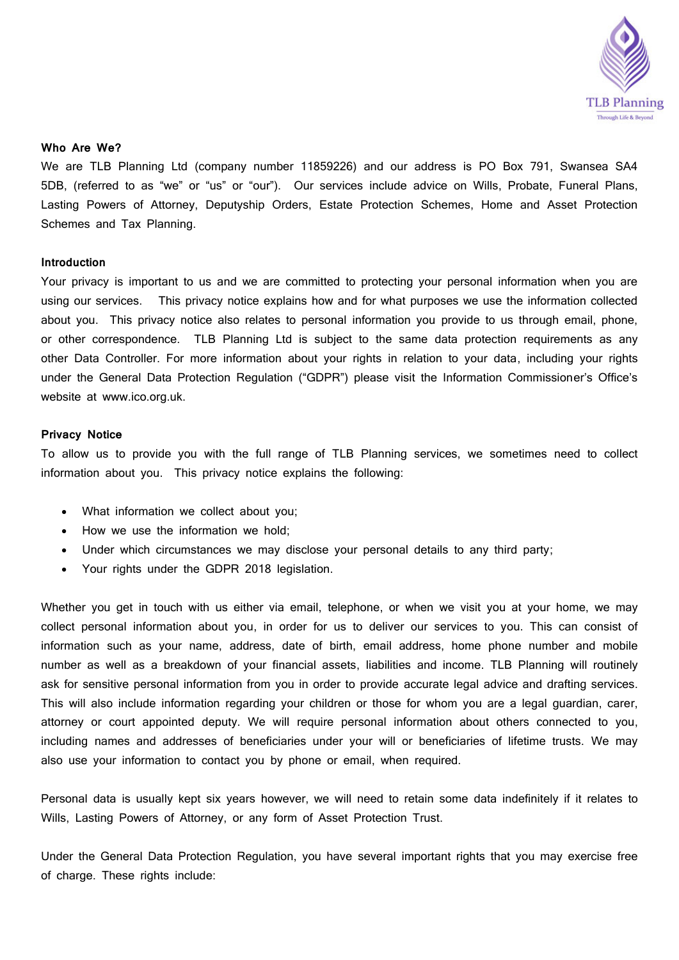

# **Who Are We?**

We are TLB Planning Ltd (company number 11859226) and our address is PO Box 791, Swansea SA4 5DB, (referred to as "we" or "us" or "our"). Our services include advice on Wills, Probate, Funeral Plans, Lasting Powers of Attorney, Deputyship Orders, Estate Protection Schemes, Home and Asset Protection Schemes and Tax Planning.

# **Introduction**

Your privacy is important to us and we are committed to protecting your personal information when you are using our services. This privacy notice explains how and for what purposes we use the information collected about you. This privacy notice also relates to personal information you provide to us through email, phone, or other correspondence. TLB Planning Ltd is subject to the same data protection requirements as any other Data Controller. For more information about your rights in relation to your data, including your rights under the General Data Protection Regulation ("GDPR") please visit the Information Commissioner's Office's website at [www.ico.org.uk.](http://www.ico.org.uk/)

# **Privacy Notice**

To allow us to provide you with the full range of TLB Planning services, we sometimes need to collect information about you. This privacy notice explains the following:

- What information we collect about you;
- How we use the information we hold;
- Under which circumstances we may disclose your personal details to any third party;
- Your rights under the GDPR 2018 legislation.

Whether you get in touch with us either via email, telephone, or when we visit you at your home, we may collect personal information about you, in order for us to deliver our services to you. This can consist of information such as your name, address, date of birth, email address, home phone number and mobile number as well as a breakdown of your financial assets, liabilities and income. TLB Planning will routinely ask for sensitive personal information from you in order to provide accurate legal advice and drafting services. This will also include information regarding your children or those for whom you are a legal guardian, carer, attorney or court appointed deputy. We will require personal information about others connected to you, including names and addresses of beneficiaries under your will or beneficiaries of lifetime trusts. We may also use your information to contact you by phone or email, when required.

Personal data is usually kept six years however, we will need to retain some data indefinitely if it relates to Wills, Lasting Powers of Attorney, or any form of Asset Protection Trust.

Under the General Data Protection Regulation, you have several important rights that you may exercise free of charge. These rights include: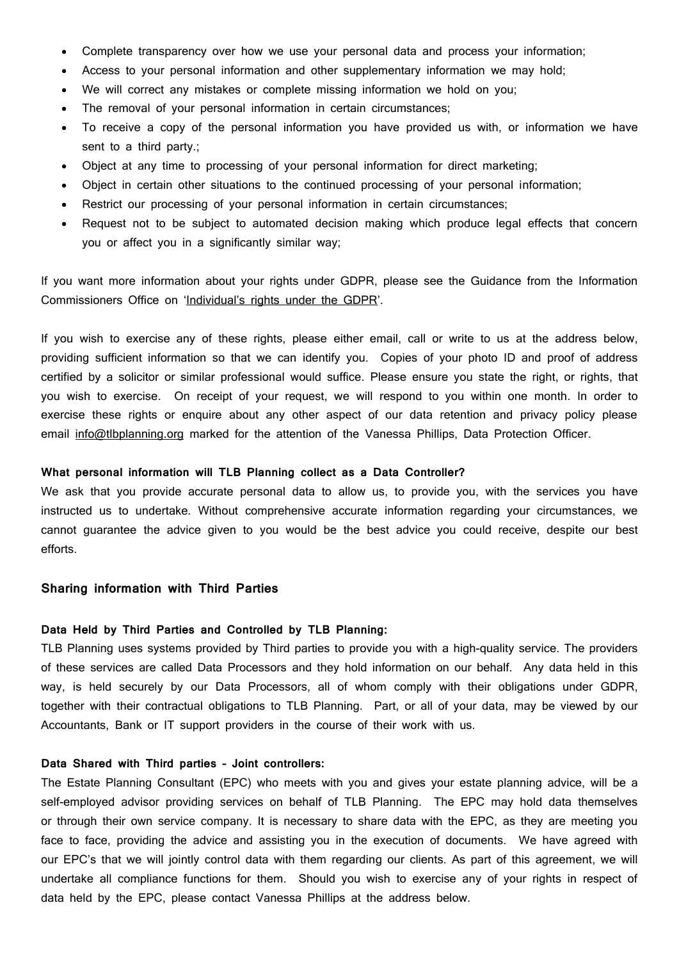- Complete transparency over how we use your personal data and process your information;
- Access to your personal information and other supplementary information we may hold;
- We will correct any mistakes or complete missing information we hold on you;
- The removal of your personal information in certain circumstances;
- To receive a copy of the personal information you have provided us with, or information we have sent to a third party.;
- Object at any time to processing of your personal information for direct marketing;
- Object in certain other situations to the continued processing of your personal information;
- Restrict our processing of your personal information in certain circumstances;
- Request not to be subject to automated decision making which produce legal effects that concern you or affect you in a significantly similar way;

If you want more information about your rights under GDPR, please see the Guidance from the Information Commissioners Office on ['Individual's rights](http://ico.org.uk/for-organisations/guide-to-the-general-data-protection-regulation-gdpr/individual-rights/) under the GDPR'.

If you wish to exercise any of these rights, please either email, call or write to us at the address below, providing sufficient information so that we can identify you. Copies of your photo ID and proof of address certified by a solicitor or similar professional would suffice. Please ensure you state the right, or rights, that you wish to exercise. On receipt of your request, we will respond to you within one month. In order to exercise these rights or enquire about any other aspect of our data retention and privacy policy please email [info@tlbplanning.org](mailto:info@tlbplanning.org) marked for the attention of the Vanessa Phillips, Data Protection Officer.

#### **What personal information will TLB Planning collect as a Data Controller?**

We ask that you provide accurate personal data to allow us, to provide you, with the services you have instructed us to undertake. Without comprehensive accurate information regarding your circumstances, we cannot guarantee the advice given to you would be the best advice you could receive, despite our best efforts.

## **Sharing information with Third Parties**

## **Data Held by Third Parties and Controlled by TLB Planning:**

TLB Planning uses systems provided by Third parties to provide you with a high-quality service. The providers of these services are called Data Processors and they hold information on our behalf. Any data held in this way, is held securely by our Data Processors, all of whom comply with their obligations under GDPR, together with their contractual obligations to TLB Planning. Part, or all of your data, may be viewed by our Accountants, Bank or IT support providers in the course of their work with us.

# **Data Shared with Third parties – Joint controllers:**

The Estate Planning Consultant (EPC) who meets with you and gives your estate planning advice, will be a self-employed advisor providing services on behalf of TLB Planning. The EPC may hold data themselves or through their own service company. It is necessary to share data with the EPC, as they are meeting you face to face, providing the advice and assisting you in the execution of documents. We have agreed with our EPC's that we will jointly control data with them regarding our clients. As part of this agreement, we will undertake all compliance functions for them. Should you wish to exercise any of your rights in respect of data held by the EPC, please contact Vanessa Phillips at the address below.